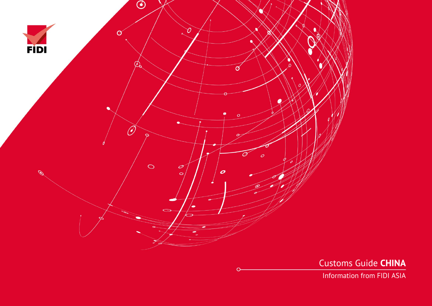

Customs Guide **CHINA**

Information from FIDI ASIA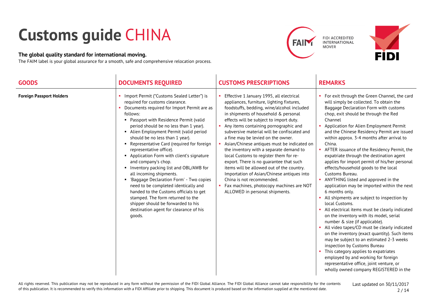## **Customs guide** CHINA

## **The global quality standard for international moving.**

The FAIM label is your global assurance for a smooth, safe and comprehensive relocation process.





| <b>GOODS</b>                    | <b>DOCUMENTS REQUIRED</b>                                                                                                                                                                                                                                                                                                                                                                                                                                                                                                                                                                                                                                                                                                                                                                   | <b>CUSTOMS PRESCRIPTIONS</b>                                                                                                                                                                                                                                                                                                                                                                                                                                                                                                                                                                                                                                                                                                              | <b>REMARKS</b>                                                                                                                                                                                                                                                                                                                                                                                                                                                                                                                                                                                                                                                                                                                                                                                                                                                                                                                                                                                                                                                                                                                                                                                          |
|---------------------------------|---------------------------------------------------------------------------------------------------------------------------------------------------------------------------------------------------------------------------------------------------------------------------------------------------------------------------------------------------------------------------------------------------------------------------------------------------------------------------------------------------------------------------------------------------------------------------------------------------------------------------------------------------------------------------------------------------------------------------------------------------------------------------------------------|-------------------------------------------------------------------------------------------------------------------------------------------------------------------------------------------------------------------------------------------------------------------------------------------------------------------------------------------------------------------------------------------------------------------------------------------------------------------------------------------------------------------------------------------------------------------------------------------------------------------------------------------------------------------------------------------------------------------------------------------|---------------------------------------------------------------------------------------------------------------------------------------------------------------------------------------------------------------------------------------------------------------------------------------------------------------------------------------------------------------------------------------------------------------------------------------------------------------------------------------------------------------------------------------------------------------------------------------------------------------------------------------------------------------------------------------------------------------------------------------------------------------------------------------------------------------------------------------------------------------------------------------------------------------------------------------------------------------------------------------------------------------------------------------------------------------------------------------------------------------------------------------------------------------------------------------------------------|
| <b>Foreign Passport Holders</b> | Import Permit ("Customs Sealed Letter") is<br>required for customs clearance.<br>Documents required for Import Permit are as<br>follows:<br>• Passport with Residence Permit (valid<br>period should be no less than 1 year).<br>• Alien Employment Permit (valid period<br>should be no less than 1 year).<br>Representative Card (required for foreign<br>representative office).<br>Application Form with client's signature<br>and company's chop.<br>• Inventory packing list and OBL/AWB for<br>all incoming shipments.<br>• 'Baggage Declaration Form' - Two copies<br>need to be completed identically and<br>handed to the Customs officials to get<br>stamped. The form returned to the<br>shipper should be forwarded to his<br>destination agent for clearance of his<br>goods. | Effective 1 January 1995, all electrical<br>appliances, furniture, lighting fixtures,<br>foodstuffs, bedding, wine/alcohol included<br>in shipments of household & personal<br>effects will be subject to import duty.<br>Any items containing pornographic and<br>subversive material will be confiscated and<br>a fine may be levied on the owner.<br>Asian/Chinese antiques must be indicated on<br>the inventory with a separate demand to<br>local Customs to register them for re-<br>export. There is no guarantee that such<br>items will be allowed out of the country.<br>Importation of Asian/Chinese antiques into<br>China is not recommended.<br>Fax machines, photocopy machines are NOT<br>ALLOWED in personal shipments. | For exit through the Green Channel, the card<br>will simply be collected. To obtain the<br>Baggage Declaration Form with customs<br>chop, exit should be through the Red<br>Channel<br>Application for Alien Employment Permit<br>and the Chinese Residency Permit are issued<br>within approx. 3-4 months after arrival to<br>China.<br>AFTER issuance of the Residency Permit, the<br>expatriate through the destination agent<br>applies for import permit of his/her personal<br>effects/household goods to the local<br>Customs Bureau.<br>ANYTHING listed and approved in the<br>application may be imported within the next<br>6 months only.<br>All shipments are subject to inspection by<br>local Customs.<br>All electrical items must be clearly indicated<br>on the inventory with its model, serial<br>number & size (if applicable).<br>• All video tapes/CD must be clearly indicated<br>on the inventory (exact quantity). Such items<br>may be subject to an estimated 2-3 weeks<br>inspection by Customs Bureau<br>This category applies to expatriates<br>employed by and working for foreign<br>representative office, joint venture, or<br>wholly owned company REGISTERED in the |

All rights reserved. This publication may not be reproduced in any form without the permission of the FIDI Global Alliance. The FIDI Global Alliance cannot take responsibility for the contents of this publication. It is recommended to verify this information with a FIDI Affiliate prior to shipping. This document is produced based on the information supplied at the mentioned date.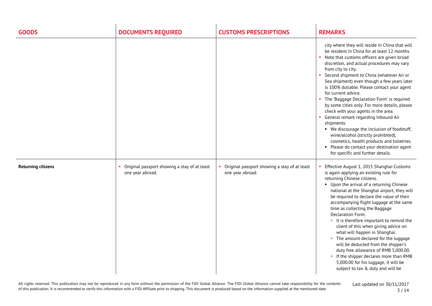| <b>GOODS</b>              | <b>DOCUMENTS REQUIRED</b>                                          | <b>CUSTOMS PRESCRIPTIONS</b>                                     | <b>REMARKS</b>                                                                                                                                                                                                                                                                                                                                                                                                                                                                                                                                                                                                                                                                                                                                                                                            |
|---------------------------|--------------------------------------------------------------------|------------------------------------------------------------------|-----------------------------------------------------------------------------------------------------------------------------------------------------------------------------------------------------------------------------------------------------------------------------------------------------------------------------------------------------------------------------------------------------------------------------------------------------------------------------------------------------------------------------------------------------------------------------------------------------------------------------------------------------------------------------------------------------------------------------------------------------------------------------------------------------------|
|                           |                                                                    |                                                                  | city where they will reside in China that will<br>be resident in China for at least 12 months.<br>• Note that customs officers are given broad<br>discretion, and actual procedures may vary<br>from city to city.<br>• Second shipment to China (whatever Air or<br>Sea shipment) even though a few years later<br>is 100% dutiable. Please contact your agent<br>for current advice.<br>• The 'Baggage Declaration Form' is required<br>by some cities only. For more details, please<br>check with your agents in the area.<br>General remark regarding Inbound Air<br>shipments:<br>• We discourage the inclusion of foodstuff,<br>wine/alcohol (strictly prohibited),<br>cosmetics, health products and toiletries.<br>Please do contact your destination agent<br>for specific and further details. |
| <b>Returning citizens</b> | • Original passport showing a stay of at least<br>one year abroad. | Original passport showing a stay of at least<br>one year abroad. | Effective August 1, 2015 Shanghai Customs<br>is again applying an existing rule for<br>returning Chinese citizens.<br>• Upon the arrival of a returning Chinese<br>national at the Shanghai airport, they will<br>be required to declare the value of their<br>accompanying flight luggage at the same<br>time as collecting the Baggage<br>Declaration Form.<br>It is therefore important to remind the<br>client of this when giving advice on<br>what will happen in Shanghai.<br>" The amount declared for the luggage<br>will be deducted from the shipper's<br>duty free allowance of RMB 5,000.00.<br>If the shipper declares more than RMB<br>5,000.00 for his luggage, it will be<br>subject to tax & duty and will be                                                                           |

All rights reserved. This publication may not be reproduced in any form without the permission of the FIDI Global Alliance. The FIDI Global Alliance cannot take responsibility for the contents of this publication. It is recommended to verify this information with a FIDI Affiliate prior to shipping. This document is produced based on the information supplied at the mentioned date.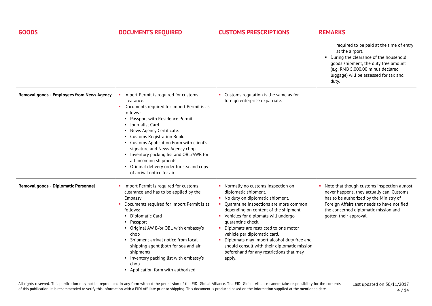| <b>GOODS</b>                               | <b>DOCUMENTS REQUIRED</b>                                                                                                                                                                                                                                                                                                                                                                                                                                              | <b>CUSTOMS PRESCRIPTIONS</b>                                                                                                                                                                                                                                                                                                                                                                                                                                               | <b>REMARKS</b>                                                                                                                                                                                                                                        |
|--------------------------------------------|------------------------------------------------------------------------------------------------------------------------------------------------------------------------------------------------------------------------------------------------------------------------------------------------------------------------------------------------------------------------------------------------------------------------------------------------------------------------|----------------------------------------------------------------------------------------------------------------------------------------------------------------------------------------------------------------------------------------------------------------------------------------------------------------------------------------------------------------------------------------------------------------------------------------------------------------------------|-------------------------------------------------------------------------------------------------------------------------------------------------------------------------------------------------------------------------------------------------------|
|                                            |                                                                                                                                                                                                                                                                                                                                                                                                                                                                        |                                                                                                                                                                                                                                                                                                                                                                                                                                                                            | required to be paid at the time of entry<br>at the airport.<br>• During the clearance of the household<br>goods shipment, the duty free amount<br>(e.g. RMB 5,000.00 minus declared<br>luggage) will be assessed for tax and<br>duty.                 |
| Removal goods - Employees from News Agency | • Import Permit is required for customs<br>clearance.<br>Documents required for Import Permit is as<br>follows:<br>• Passport with Residence Permit.<br>• Journalist Card.<br>• News Agency Certificate.<br>• Customs Registration Book.<br>• Customs Application Form with client's<br>signature and News Agency chop<br>Inventory packing list and OBL/AWB for<br>all incoming shipments<br>• Original delivery order for sea and copy<br>of arrival notice for air. | • Customs regulation is the same as for<br>foreign enterprise expatriate.                                                                                                                                                                                                                                                                                                                                                                                                  |                                                                                                                                                                                                                                                       |
| Removal goods - Diplomatic Personnel       | • Import Permit is required for customs<br>clearance and has to be applied by the<br>Embassy.<br>Documents required for Import Permit is as<br>follows:<br>• Diplomatic Card<br>• Passport<br>• Original AW B/or OBL with embassy's<br>chop<br>• Shipment arrival notice from local<br>shipping agent (both for sea and air<br>shipment)<br>• Inventory packing list with embassy's<br>chop<br>• Application form with authorized                                      | • Normally no customs inspection on<br>diplomatic shipment.<br>No duty on diplomatic shipment.<br>Quarantine inspections are more common<br>depending on content of the shipment.<br>Vehicles for diplomats will undergo<br>quarantine check.<br>Diplomats are restricted to one motor<br>vehicle per diplomatic card.<br>Diplomats may import alcohol duty free and<br>should consult with their diplomatic mission<br>beforehand for any restrictions that may<br>apply. | • Note that though customs inspection almost<br>never happens, they actually can. Customs<br>has to be authorized by the Ministry of<br>Foreign Affairs that needs to have notified<br>the concerned diplomatic mission and<br>gotten their approval. |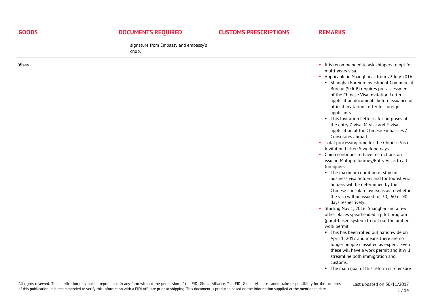| <b>GOODS</b> | <b>DOCUMENTS REQUIRED</b>                     | <b>CUSTOMS PRESCRIPTIONS</b> | <b>REMARKS</b>                                                                                                                                                                                                                                                                                                                                                                                                                                                                                                                                                                                                                                                                                                                                                                                                                                                                                                                                                                                                                                                                                                                                                                                                                                                                                                                                                                             |
|--------------|-----------------------------------------------|------------------------------|--------------------------------------------------------------------------------------------------------------------------------------------------------------------------------------------------------------------------------------------------------------------------------------------------------------------------------------------------------------------------------------------------------------------------------------------------------------------------------------------------------------------------------------------------------------------------------------------------------------------------------------------------------------------------------------------------------------------------------------------------------------------------------------------------------------------------------------------------------------------------------------------------------------------------------------------------------------------------------------------------------------------------------------------------------------------------------------------------------------------------------------------------------------------------------------------------------------------------------------------------------------------------------------------------------------------------------------------------------------------------------------------|
|              | signature from Embassy and embassy's<br>chop. |                              |                                                                                                                                                                                                                                                                                                                                                                                                                                                                                                                                                                                                                                                                                                                                                                                                                                                                                                                                                                                                                                                                                                                                                                                                                                                                                                                                                                                            |
| <b>Visas</b> |                                               |                              | • It is recommended to ask shippers to opt for<br>multi-years visa.<br>Applicable in Shanghai as from 22 July 2016:<br>• Shanghai Foreign Investment Commercial<br>Bureau (SFICB) requires pre-assessment<br>of the Chinese Visa Invitation Letter<br>application documents before issuance of<br>official Invitation Letter for foreign<br>applicants.<br>• This Invitation Letter is for purposes of<br>the entry Z-visa, M-visa and F-visa<br>application at the Chinese Embassies /<br>Consulates abroad.<br>• Total processing time for the Chinese Visa<br>Invitation Letter: 5 working days.<br>• China continues to have restrictions on<br>issuing Multiple Journey/Entry Visas to all<br>foreigners.<br>• The maximum duration of stay for<br>business visa holders and for tourist visa<br>holders will be determined by the<br>Chinese consulate overseas as to whether<br>the visa will be issued for 30, 60 or 90<br>days respectively.<br>• Starting Nov 1, 2016, Shanghai and a few<br>other places spearheaded a pilot program<br>(point-based system) to roll out the unified<br>work permit.<br>• This has been rolled out nationwide on<br>April 1, 2017 and means there are no<br>longer people classified as expert. Even<br>these will have a work permit and it will<br>streamline both immigration and<br>customs.<br>• The main goal of this reform is to ensure |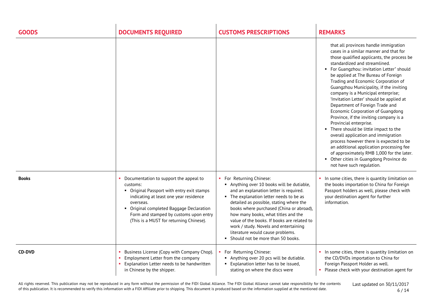| <b>GOODS</b>  | <b>DOCUMENTS REQUIRED</b>                                                                                                                                                                                                                                                                | <b>CUSTOMS PRESCRIPTIONS</b>                                                                                                                                                                                                                                                                                                                                                                                                                           | <b>REMARKS</b>                                                                                                                                                                                                                                                                                                                                                                                                                                                                                                                                                                                                                                                                                                                                                                                                                                                      |
|---------------|------------------------------------------------------------------------------------------------------------------------------------------------------------------------------------------------------------------------------------------------------------------------------------------|--------------------------------------------------------------------------------------------------------------------------------------------------------------------------------------------------------------------------------------------------------------------------------------------------------------------------------------------------------------------------------------------------------------------------------------------------------|---------------------------------------------------------------------------------------------------------------------------------------------------------------------------------------------------------------------------------------------------------------------------------------------------------------------------------------------------------------------------------------------------------------------------------------------------------------------------------------------------------------------------------------------------------------------------------------------------------------------------------------------------------------------------------------------------------------------------------------------------------------------------------------------------------------------------------------------------------------------|
|               |                                                                                                                                                                                                                                                                                          |                                                                                                                                                                                                                                                                                                                                                                                                                                                        | that all provinces handle immigration<br>cases in a similar manner and that for<br>those qualified applicants, the process be<br>standardized and streamlined.<br>For Guangzhou: invitation Letter" should<br>٠<br>be applied at The Bureau of Foreign<br>Trading and Economic Corporation of<br>Guangzhou Municipality, if the inviting<br>company is a Municipal enterprise;<br>'Invitation Letter' should be applied at<br>Department of Foreign Trade and<br>Economic Corporation of Guangdong<br>Province, if the inviting company is a<br>Provincial enterprise.<br>• There should be little impact to the<br>overall application and immigration<br>process however there is expected to be<br>an additional application processing fee<br>of approximately RMB 1,000 for the later.<br>• Other cities in Guangdong Province do<br>not have such regulation. |
| <b>Books</b>  | Documentation to support the appeal to<br>customs:<br>• Original Passport with entry exit stamps<br>indicating at least one year residence<br>overseas.<br>• Original completed Baggage Declaration<br>Form and stamped by customs upon entry<br>(This is a MUST for returning Chinese). | For Returning Chinese:<br>Anything over 10 books will be dutiable,<br>and an explanation letter is required.<br>• The explanation letter needs to be as<br>detailed as possible, stating where the<br>books where purchased (China or abroad),<br>how many books, what titles and the<br>value of the books. If books are related to<br>work / study. Novels and entertaining<br>literature would cause problems.<br>Should not be more than 50 books. | In some cities, there is quantity limitation on<br>the books importation to China for Foreign<br>Passport holders as well, please check with<br>your destination agent for further<br>information.                                                                                                                                                                                                                                                                                                                                                                                                                                                                                                                                                                                                                                                                  |
| <b>CD-DVD</b> | Business License (Copy with Company Chop).<br>Employment Letter from the company<br>Explanation Letter needs to be handwritten<br>in Chinese by the shipper.                                                                                                                             | For Returning Chinese:<br>Anything over 20 pcs will be dutiable.<br>" Explanation letter has to be issued,<br>stating on where the discs were                                                                                                                                                                                                                                                                                                          | In some cities, there is quantity limitation on<br>the CD/DVDs importation to China for<br>Foreign Passport Holder as well.<br>• Please check with your destination agent for                                                                                                                                                                                                                                                                                                                                                                                                                                                                                                                                                                                                                                                                                       |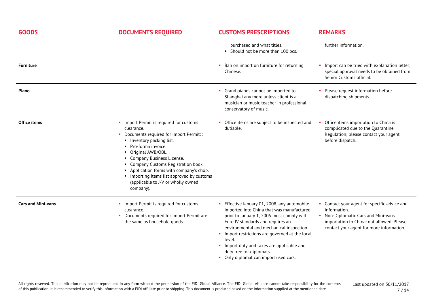| <b>GOODS</b>              | <b>DOCUMENTS REQUIRED</b>                                                                                                                                                                                                                                                                                                                                                                  | <b>CUSTOMS PRESCRIPTIONS</b>                                                                                                                                                                                                                                                                                                                                                                    | <b>REMARKS</b>                                                                                                                                                                               |
|---------------------------|--------------------------------------------------------------------------------------------------------------------------------------------------------------------------------------------------------------------------------------------------------------------------------------------------------------------------------------------------------------------------------------------|-------------------------------------------------------------------------------------------------------------------------------------------------------------------------------------------------------------------------------------------------------------------------------------------------------------------------------------------------------------------------------------------------|----------------------------------------------------------------------------------------------------------------------------------------------------------------------------------------------|
|                           |                                                                                                                                                                                                                                                                                                                                                                                            | purchased and what titles.<br>• Should not be more than 100 pcs.                                                                                                                                                                                                                                                                                                                                | further information.                                                                                                                                                                         |
| <b>Furniture</b>          |                                                                                                                                                                                                                                                                                                                                                                                            | Ban on import on furniture for returning<br>Chinese.                                                                                                                                                                                                                                                                                                                                            | • Import can be tried with explanation letter;<br>special approval needs to be obtained from<br>Senior Customs official.                                                                     |
| Piano                     |                                                                                                                                                                                                                                                                                                                                                                                            | Grand pianos cannot be imported to<br>Shanghai any more unless client is a<br>musician or music teacher in professional<br>conservatory of music.                                                                                                                                                                                                                                               | • Please request information before<br>dispatching shipments.                                                                                                                                |
| Office items              | Import Permit is required for customs<br>clearance.<br>Documents required for Import Permit: :<br>• Inventory packing list.<br>• Pro-forma invoice.<br>• Original AWB/OBL.<br>• Company Business License.<br>• Company Customs Registration book.<br>Application forms with company's chop.<br>Importing items list approved by customs<br>(applicable to J-V or wholly owned<br>company). | Office items are subject to be inspected and<br>dutiable.                                                                                                                                                                                                                                                                                                                                       | Office items importation to China is<br>complicated due to the Quarantine<br>Regulation; please contact your agent<br>before dispatch.                                                       |
| <b>Cars and Mini-vans</b> | • Import Permit is required for customs<br>clearance.<br>Documents required for Import Permit are<br>the same as household goods                                                                                                                                                                                                                                                           | Effective January 01, 2008, any automobile<br>imported into China that was manufactured<br>prior to January 1, 2005 must comply with<br>Euro IV standards and requires an<br>environmental and mechanical inspection.<br>Import restrictions are governed at the local<br>level.<br>Import duty and taxes are applicable and<br>duty free for diplomats.<br>Only diplomat can import used cars. | • Contact your agent for specific advice and<br>information.<br>• Non-Diplomatic Cars and Mini-vans<br>importation to China: not allowed. Please<br>contact your agent for more information. |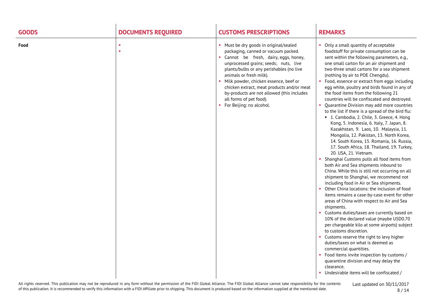| <b>GOODS</b> | <b>DOCUMENTS REQUIRED</b> | <b>CUSTOMS PRESCRIPTIONS</b>                                                                                                                                                                                                                                                                                                                                                                                                        | <b>REMARKS</b>                                                                                                                                                                                                                                                                                                                                                                                                                                                                                                                                                                                                                                                                                                                                                                                                                                                                                                                                                                                                                                                                                                                                                                                                                                                                                                                                                                                                                                                                                                                                                                                                                                                                                     |
|--------------|---------------------------|-------------------------------------------------------------------------------------------------------------------------------------------------------------------------------------------------------------------------------------------------------------------------------------------------------------------------------------------------------------------------------------------------------------------------------------|----------------------------------------------------------------------------------------------------------------------------------------------------------------------------------------------------------------------------------------------------------------------------------------------------------------------------------------------------------------------------------------------------------------------------------------------------------------------------------------------------------------------------------------------------------------------------------------------------------------------------------------------------------------------------------------------------------------------------------------------------------------------------------------------------------------------------------------------------------------------------------------------------------------------------------------------------------------------------------------------------------------------------------------------------------------------------------------------------------------------------------------------------------------------------------------------------------------------------------------------------------------------------------------------------------------------------------------------------------------------------------------------------------------------------------------------------------------------------------------------------------------------------------------------------------------------------------------------------------------------------------------------------------------------------------------------------|
| Food         |                           | • Must be dry goods in original/sealed<br>packaging, canned or vacuum packed.<br>• Cannot be fresh, dairy, eggs, honey,<br>unprocessed grains; seeds; nuts, live<br>plants/bulbs or any perishables (no live<br>animals or fresh milk).<br>Milk powder, chicken essence, beef or<br>chicken extract, meat products and/or meat<br>by-products are not allowed (this includes<br>all forms of pet food).<br>For Beijing: no alcohol. | Only a small quantity of acceptable<br>foodstuff for private consumption can be<br>sent within the following parameters, e.g.,<br>one small carton for an air shipment and<br>two-three small cartons for a sea shipment<br>(nothing by air to POE Chengdu).<br>• Food, essence or extract from eggs including<br>egg white, poultry and birds found in any of<br>the food items from the following 21<br>countries will be confiscated and destroyed.<br>Quarantine Division may add more countries<br>to the list if there is a spread of the bird flu:<br>• 1. Cambodia, 2. Chile, 3. Greece, 4. Hong<br>Kong, 5. Indonesia, 6. Italy, 7. Japan, 8.<br>Kazakhstan, 9. Laos, 10. Malaysia, 11.<br>Mongolia, 12. Pakistan, 13. North Korea,<br>14. South Korea, 15. Romania, 16. Russia,<br>17. South Africa, 18. Thailand, 19. Turkey,<br>20. USA, 21. Vietnam.<br>Shanghai Customs pulls all food items from<br>both Air and Sea shipments inbound to<br>China. While this is still not occurring on all<br>shipment to Shanghai, we recommend not<br>including food in Air or Sea shipments.<br>Other China locations: the inclusion of food<br>items remains a case-by-case event for other<br>areas of China with respect to Air and Sea<br>shipments.<br>• Customs duties/taxes are currently based on<br>10% of the declared value (maybe USD0.70<br>per chargeable kilo at some airports) subject<br>to customs discretion.<br>• Customs reserve the right to levy higher<br>duties/taxes on what is deemed as<br>commercial quantities.<br>Food items invite inspection by customs /<br>quarantine division and may delay the<br>clearance.<br>• Undesirable items will be confiscated / |

All rights reserved. This publication may not be reproduced in any form without the permission of the FIDI Global Alliance. The FIDI Global Alliance cannot take responsibility for the contents of this publication. It is recommended to verify this information with a FIDI Affiliate prior to shipping. This document is produced based on the information supplied at the mentioned date.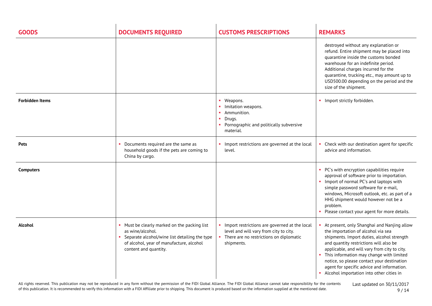| <b>GOODS</b>           | <b>DOCUMENTS REQUIRED</b>                                                                                                                                                              | <b>CUSTOMS PRESCRIPTIONS</b>                                                                                                                       | <b>REMARKS</b>                                                                                                                                                                                                                                                                                                                                                                                                |
|------------------------|----------------------------------------------------------------------------------------------------------------------------------------------------------------------------------------|----------------------------------------------------------------------------------------------------------------------------------------------------|---------------------------------------------------------------------------------------------------------------------------------------------------------------------------------------------------------------------------------------------------------------------------------------------------------------------------------------------------------------------------------------------------------------|
|                        |                                                                                                                                                                                        |                                                                                                                                                    | destroyed without any explanation or<br>refund. Entire shipment may be placed into<br>quarantine inside the customs bonded<br>warehouse for an indefinite period.<br>Additional charges incurred for the<br>quarantine, trucking etc., may amount up to<br>USD500.00 depending on the period and the<br>size of the shipment.                                                                                 |
| <b>Forbidden Items</b> |                                                                                                                                                                                        | • Weapons.<br>Imitation weapons.<br>• Ammunition.<br>Drugs.<br>• Pornographic and politically subversive<br>material.                              | • Import strictly forbidden.                                                                                                                                                                                                                                                                                                                                                                                  |
| Pets                   | Documents required are the same as<br>household goods if the pets are coming to<br>China by cargo.                                                                                     | Import restrictions are governed at the local<br>level.                                                                                            | Check with our destination agent for specific<br>advice and information.                                                                                                                                                                                                                                                                                                                                      |
| <b>Computers</b>       |                                                                                                                                                                                        |                                                                                                                                                    | PC's with encryption capabilities require<br>approval of software prior to importation.<br>• Import of normal PC's and laptops with<br>simple password software for e-mail,<br>windows, Microsoft outlook, etc. as part of a<br>HHG shipment would however not be a<br>problem.<br>• Please contact your agent for more details.                                                                              |
| <b>Alcohol</b>         | Must be clearly marked on the packing list<br>as wine/alcohol.<br>• Separate alcohol/wine list detailing the type<br>of alcohol, year of manufacture, alcohol<br>content and quantity. | Import restrictions are governed at the local<br>level and will vary from city to city.<br>• There are no restrictions on diplomatic<br>shipments. | At present, only Shanghai and Nanjing allow<br>the importation of alcohol via sea<br>shipments. Import duties, alcohol strength<br>and quantity restrictions will also be<br>applicable, and will vary from city to city.<br>This information may change with limited<br>notice, so please contact your destination<br>agent for specific advice and information.<br>Alcohol importation into other cities in |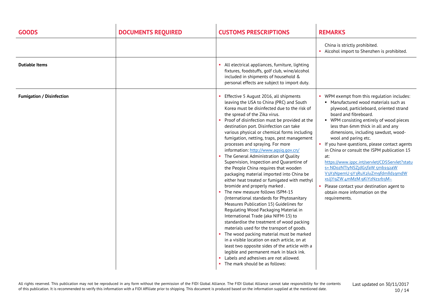| <b>GOODS</b>                     | <b>DOCUMENTS REQUIRED</b> | <b>CUSTOMS PRESCRIPTIONS</b>                                                                                                                                                                                                                                                                                                                                                                                                                                                                                                                                                                                                                                                                                                                                                                                                                                                                                                                                                                                                                                                                                                                                                                                                                                                         | <b>REMARKS</b>                                                                                                                                                                                                                                                                                                                                                                                                                                                                                                                                                                                                                                                                                       |
|----------------------------------|---------------------------|--------------------------------------------------------------------------------------------------------------------------------------------------------------------------------------------------------------------------------------------------------------------------------------------------------------------------------------------------------------------------------------------------------------------------------------------------------------------------------------------------------------------------------------------------------------------------------------------------------------------------------------------------------------------------------------------------------------------------------------------------------------------------------------------------------------------------------------------------------------------------------------------------------------------------------------------------------------------------------------------------------------------------------------------------------------------------------------------------------------------------------------------------------------------------------------------------------------------------------------------------------------------------------------|------------------------------------------------------------------------------------------------------------------------------------------------------------------------------------------------------------------------------------------------------------------------------------------------------------------------------------------------------------------------------------------------------------------------------------------------------------------------------------------------------------------------------------------------------------------------------------------------------------------------------------------------------------------------------------------------------|
|                                  |                           |                                                                                                                                                                                                                                                                                                                                                                                                                                                                                                                                                                                                                                                                                                                                                                                                                                                                                                                                                                                                                                                                                                                                                                                                                                                                                      | China is strictly prohibited.<br>• Alcohol import to Shenzhen is prohibited.                                                                                                                                                                                                                                                                                                                                                                                                                                                                                                                                                                                                                         |
| <b>Dutiable Items</b>            |                           | All electrical appliances, furniture, lighting<br>fixtures, foodstuffs, golf club, wine/alcohol<br>included in shipments of household &<br>personal effects are subject to import duty.                                                                                                                                                                                                                                                                                                                                                                                                                                                                                                                                                                                                                                                                                                                                                                                                                                                                                                                                                                                                                                                                                              |                                                                                                                                                                                                                                                                                                                                                                                                                                                                                                                                                                                                                                                                                                      |
| <b>Fumigation / Disinfection</b> |                           | Effective 5 August 2016, all shipments<br>leaving the USA to China (PRC) and South<br>Korea must be disinfected due to the risk of<br>the spread of the Zika virus.<br>Proof of disinfection must be provided at the<br>destination port. Disinfection can take<br>various physical or chemical forms including<br>fumigation, netting, traps, pest management<br>processes and spraying. For more<br>information: http://www.aqsiq.gov.cn/<br>The General Administration of Quality<br>Supervision, Inspection and Quarantine of<br>the People China requires that wooden<br>packaging material imported into China be<br>either heat treated or fumigated with methyl<br>bromide and properly marked.<br>The new measure follows ISPM-15<br>(International standards for Phytosanitary<br>Measures Publication 15) Guidelines for<br>Regulating Wood Packaging Material in<br>International Trade (aka NIFM-15) to<br>standardise the treatment of wood packing<br>materials used for the transport of goods.<br>The wood packing material must be marked<br>in a visible location on each article, on at<br>least two opposite sides of the article with a<br>legible and permanent mark in black ink.<br>Labels and adhesives are not allowed.<br>The mark should be as follows: | • WPM exempt from this regulation includes:<br>• Manufactured wood materials such as<br>plywood, particleboard, oriented strand<br>board and fibreboard.<br>• WPM consisting entirely of wood pieces<br>less than 6mm thick in all and any<br>dimensions, including sawdust, wood-<br>wool and paring etc.<br>• If you have questions, please contact agents<br>in China or consult the ISPM publication 15<br>at:<br>https://www.ippc.int/servlet/CDSServlet?statu<br>s= NDozNTlyNSZjdG5faW 5mb192aW<br>V3X3NpemU 9Y3RuX2luZm9fdmlld19mdW<br>xsJjY9ZW 4mMzM 9KiYzNz1rb3M~<br>Please contact your destination agent to<br>$\mathbf{r}_\mathrm{c}$<br>obtain more information on the<br>requirements. |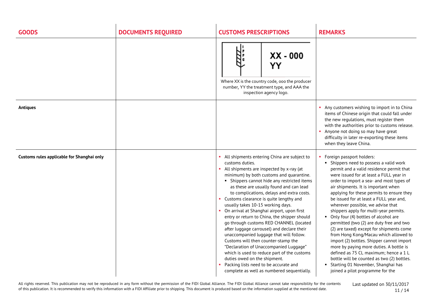| <b>GOODS</b>                               | <b>DOCUMENTS REQUIRED</b> | <b>CUSTOMS PRESCRIPTIONS</b>                                                                                                                                                                                                                                                                                                                                                                                                                                                                                                                                                                                                                                                                                                                                                                                                                                                | <b>REMARKS</b>                                                                                                                                                                                                                                                                                                                                                                                                                                                                                                                                                                                                                                                                                                                                                                                                                                              |
|--------------------------------------------|---------------------------|-----------------------------------------------------------------------------------------------------------------------------------------------------------------------------------------------------------------------------------------------------------------------------------------------------------------------------------------------------------------------------------------------------------------------------------------------------------------------------------------------------------------------------------------------------------------------------------------------------------------------------------------------------------------------------------------------------------------------------------------------------------------------------------------------------------------------------------------------------------------------------|-------------------------------------------------------------------------------------------------------------------------------------------------------------------------------------------------------------------------------------------------------------------------------------------------------------------------------------------------------------------------------------------------------------------------------------------------------------------------------------------------------------------------------------------------------------------------------------------------------------------------------------------------------------------------------------------------------------------------------------------------------------------------------------------------------------------------------------------------------------|
|                                            |                           | $XX - 000$<br>YY<br>Where XX is the country code, ooo the producer<br>number, YY the treatment type, and AAA the<br>inspection agency logo.                                                                                                                                                                                                                                                                                                                                                                                                                                                                                                                                                                                                                                                                                                                                 |                                                                                                                                                                                                                                                                                                                                                                                                                                                                                                                                                                                                                                                                                                                                                                                                                                                             |
| <b>Antiques</b>                            |                           |                                                                                                                                                                                                                                                                                                                                                                                                                                                                                                                                                                                                                                                                                                                                                                                                                                                                             | Any customers wishing to import in to China<br>items of Chinese origin that could fall under<br>the new regulations, must register them<br>with the authorities prior to customs release.<br>Anyone not doing so may have great<br>difficulty in later re-exporting these items<br>when they leave China.                                                                                                                                                                                                                                                                                                                                                                                                                                                                                                                                                   |
| Customs rules applicable for Shanghai only |                           | • All shipments entering China are subject to<br>customs duties.<br>All shipments are inspected by x-ray (at<br>minimum) by both customs and quarantine.<br>• Shippers cannot hide any restricted items<br>as these are usually found and can lead<br>to complications, delays and extra costs.<br>• Customs clearance is quite lengthy and<br>usually takes 10-15 working days.<br>• On arrival at Shanghai airport, upon first<br>entry or return to China, the shipper should<br>go through customs RED CHANNEL (located<br>after luggage carrousel) and declare their<br>unaccompanied luggage that will follow.<br>Customs will then counter-stamp the<br>"Declaration of Unaccompanied Luggage"<br>which is used to reduce part of the customs<br>duties owed on the shipment.<br>Packing lists need to be accurate and<br>complete as well as numbered sequentially. | • Foreign passport holders:<br>• Shippers need to possess a valid work<br>permit and a valid residence permit that<br>were issued for at least a FULL year in<br>order to import a sea- and most types of<br>air shipments. It is important when<br>applying for these permits to ensure they<br>be issued for at least a FULL year and,<br>wherever possible, we advise that<br>shippers apply for multi-year permits.<br>• Only four (4) bottles of alcohol are<br>permitted (two (2) are duty free and two<br>(2) are taxed) except for shipments come<br>from Hong Kong/Macau which allowed to<br>import (2) bottles. Shipper cannot import<br>more by paying more duties. A bottle is<br>defined as 75 CL maximum; hence a 1 L<br>bottle will be counted as two (2) bottles.<br>Starting 01 November, Shanghai has<br>joined a pilot programme for the |

All rights reserved. This publication may not be reproduced in any form without the permission of the FIDI Global Alliance. The FIDI Global Alliance cannot take responsibility for the contents of this publication. It is recommended to verify this information with a FIDI Affiliate prior to shipping. This document is produced based on the information supplied at the mentioned date.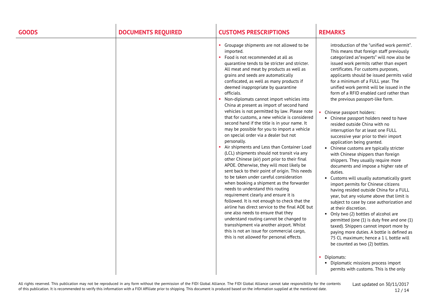| <b>GOODS</b> | <b>DOCUMENTS REQUIRED</b> | <b>CUSTOMS PRESCRIPTIONS</b>                                                                                                                                                                                                                                                                                                                                                                                                                                                                                                                                                                                                                                                                                                                                                                                                                                                                                                                                                                                                                                                                                                                                                                                                                                                                                                                                                                                                | <b>REMARKS</b>                                                                                                                                                                                                                                                                                                                                                                                                                                                                                                                                                                                                                                                                                                                                                                                                                                                                                                                                                                                                                                                                                                                                                                                                                                                                                                                                                                                                                                     |
|--------------|---------------------------|-----------------------------------------------------------------------------------------------------------------------------------------------------------------------------------------------------------------------------------------------------------------------------------------------------------------------------------------------------------------------------------------------------------------------------------------------------------------------------------------------------------------------------------------------------------------------------------------------------------------------------------------------------------------------------------------------------------------------------------------------------------------------------------------------------------------------------------------------------------------------------------------------------------------------------------------------------------------------------------------------------------------------------------------------------------------------------------------------------------------------------------------------------------------------------------------------------------------------------------------------------------------------------------------------------------------------------------------------------------------------------------------------------------------------------|----------------------------------------------------------------------------------------------------------------------------------------------------------------------------------------------------------------------------------------------------------------------------------------------------------------------------------------------------------------------------------------------------------------------------------------------------------------------------------------------------------------------------------------------------------------------------------------------------------------------------------------------------------------------------------------------------------------------------------------------------------------------------------------------------------------------------------------------------------------------------------------------------------------------------------------------------------------------------------------------------------------------------------------------------------------------------------------------------------------------------------------------------------------------------------------------------------------------------------------------------------------------------------------------------------------------------------------------------------------------------------------------------------------------------------------------------|
|              |                           | Groupage shipments are not allowed to be<br>imported.<br>Food is not recommended at all as<br>quarantine tends to be stricter and stricter.<br>All meat and meat by products as well as<br>grains and seeds are automatically<br>confiscated, as well as many products if<br>deemed inappropriate by quarantine<br>officials.<br>Non-diplomats cannot import vehicles into<br>China at present as import of second hand<br>vehicles is not permitted by law. Please note<br>that for customs, a new vehicle is considered<br>second hand if the title is in your name. It<br>may be possible for you to import a vehicle<br>on special order via a dealer but not<br>personally.<br>Air shipments and Less than Container Load<br>(LCL) shipments should not transit via any<br>other Chinese (air) port prior to their final<br>APOE. Otherwise, they will most likely be<br>sent back to their point of origin. This needs<br>to be taken under careful consideration<br>when booking a shipment as the forwarder<br>needs to understand this routing<br>requirement clearly and ensure it is<br>followed. It is not enough to check that the<br>airline has direct service to the final AOE but<br>one also needs to ensure that they<br>understand routing cannot be changed to<br>transshipment via another airport. Whilst<br>this is not an issue for commercial cargo,<br>this is not allowed for personal effects. | introduction of the "unified work permit".<br>This means that foreign staff previously<br>categorized as "experts" will now also be<br>issued work permits rather than expert<br>certificates. For customs purposes,<br>applicants should be issued permits valid<br>for a minimum of a FULL year. The<br>unified work permit will be issued in the<br>form of a RFID enabled card rather than<br>the previous passport-like form.<br>Chinese passport holders:<br>• Chinese passport holders need to have<br>resided outside China with no<br>interruption for at least one FULL<br>successive year prior to their import<br>application being granted.<br>• Chinese customs are typically stricter<br>with Chinese shippers than foreign<br>shippers. They usually require more<br>documents and impose a higher rate of<br>duties.<br>• Customs will usually automatically grant<br>import permits for Chinese citizens<br>having resided outside China for a FULL<br>year, but any volume above that limit is<br>subject to case by case authorization and<br>at their discretion.<br>• Only two (2) bottles of alcohol are<br>permitted (one (1) is duty free and one (1)<br>taxed). Shippers cannot import more by<br>paying more duties. A bottle is defined as<br>75 CL maximum; hence a 1 L bottle will<br>be counted as two (2) bottles.<br>Diplomats:<br>• Diplomatic missions process import<br>permits with customs. This is the only |
|              |                           |                                                                                                                                                                                                                                                                                                                                                                                                                                                                                                                                                                                                                                                                                                                                                                                                                                                                                                                                                                                                                                                                                                                                                                                                                                                                                                                                                                                                                             |                                                                                                                                                                                                                                                                                                                                                                                                                                                                                                                                                                                                                                                                                                                                                                                                                                                                                                                                                                                                                                                                                                                                                                                                                                                                                                                                                                                                                                                    |

All rights reserved. This publication may not be reproduced in any form without the permission of the FIDI Global Alliance. The FIDI Global Alliance cannot take responsibility for the contents of this publication. It is recommended to verify this information with a FIDI Affiliate prior to shipping. This document is produced based on the information supplied at the mentioned date.

Last updated on 30/11/2017 12 / 14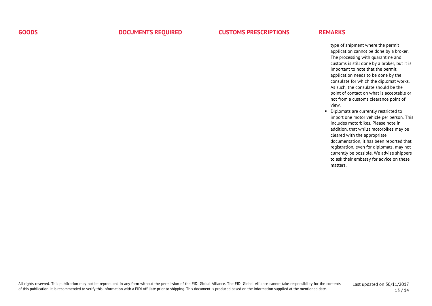| <b>GOODS</b> | <b>DOCUMENTS REQUIRED</b> | <b>CUSTOMS PRESCRIPTIONS</b> | <b>REMARKS</b>                                                                                                                                                                                                                                                                                                                                                                                                                                                                                                                                                                                                                                                                                                                                                                                                                           |
|--------------|---------------------------|------------------------------|------------------------------------------------------------------------------------------------------------------------------------------------------------------------------------------------------------------------------------------------------------------------------------------------------------------------------------------------------------------------------------------------------------------------------------------------------------------------------------------------------------------------------------------------------------------------------------------------------------------------------------------------------------------------------------------------------------------------------------------------------------------------------------------------------------------------------------------|
|              |                           |                              | type of shipment where the permit<br>application cannot be done by a broker.<br>The processing with quarantine and<br>customs is still done by a broker, but it is<br>important to note that the permit<br>application needs to be done by the<br>consulate for which the diplomat works.<br>As such, the consulate should be the<br>point of contact on what is acceptable or<br>not from a customs clearance point of<br>view.<br>• Diplomats are currently restricted to<br>import one motor vehicle per person. This<br>includes motorbikes. Please note in<br>addition, that whilst motorbikes may be<br>cleared with the appropriate<br>documentation, it has been reported that<br>registration, even for diplomats, may not<br>currently be possible. We advise shippers<br>to ask their embassy for advice on these<br>matters. |